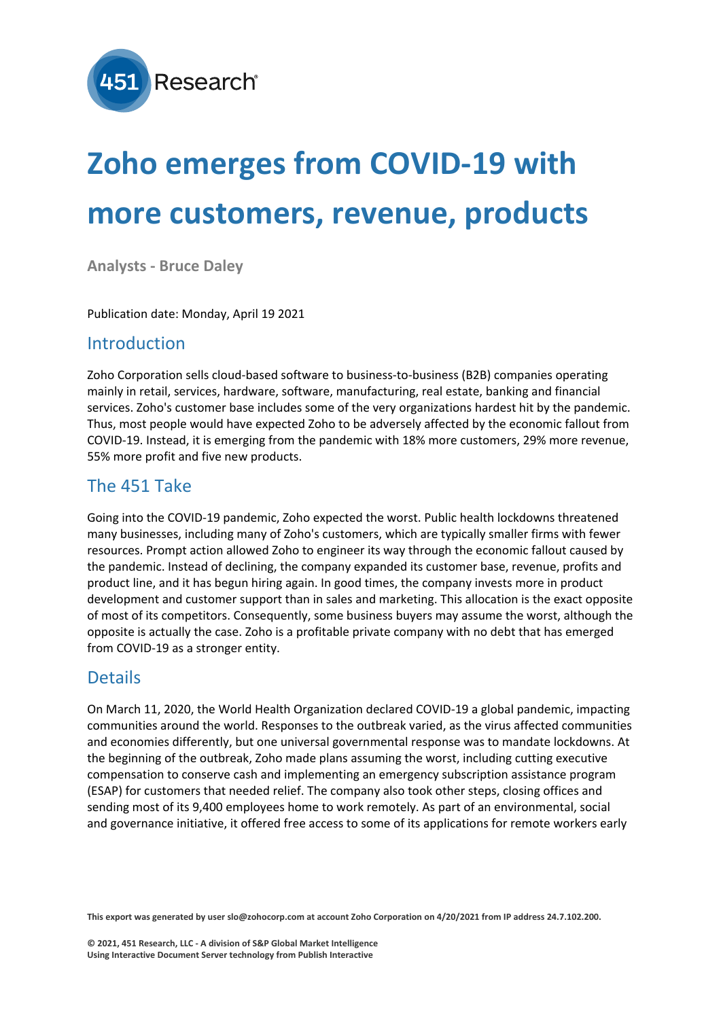

# **Zoho emerges from COVID-19 with more customers, revenue, products**

**Analysts - Bruce Daley**

Publication date: Monday, April 19 2021

#### Introduction

Zoho Corporation sells cloud-based software to business-to-business (B2B) companies operating mainly in retail, services, hardware, software, manufacturing, real estate, banking and financial services. Zoho's customer base includes some of the very organizations hardest hit by the pandemic. Thus, most people would have expected Zoho to be adversely affected by the economic fallout from COVID-19. Instead, it is emerging from the pandemic with 18% more customers, 29% more revenue, 55% more profit and five new products.

## The 451 Take

Going into the COVID-19 pandemic, Zoho expected the worst. Public health lockdowns threatened many businesses, including many of Zoho's customers, which are typically smaller firms with fewer resources. Prompt action allowed Zoho to engineer its way through the economic fallout caused by the pandemic. Instead of declining, the company expanded its customer base, revenue, profits and product line, and it has begun hiring again. In good times, the company invests more in product development and customer support than in sales and marketing. This allocation is the exact opposite of most of its competitors. Consequently, some business buyers may assume the worst, although the opposite is actually the case. Zoho is a profitable private company with no debt that has emerged from COVID-19 as a stronger entity.

## Details

On March 11, 2020, the World Health Organization declared COVID-19 a global pandemic, impacting communities around the world. Responses to the outbreak varied, as the virus affected communities and economies differently, but one universal governmental response was to mandate lockdowns. At the beginning of the outbreak, Zoho made plans assuming the worst, including cutting executive compensation to conserve cash and implementing an emergency subscription assistance program (ESAP) for customers that needed relief. The company also took other steps, closing offices and sending most of its 9,400 employees home to work remotely. As part of an environmental, social and governance initiative, it offered free access to some of its applications for remote workers early

**This export was generated by user slo@zohocorp.com at account Zoho Corporation on 4/20/2021 from IP address 24.7.102.200.**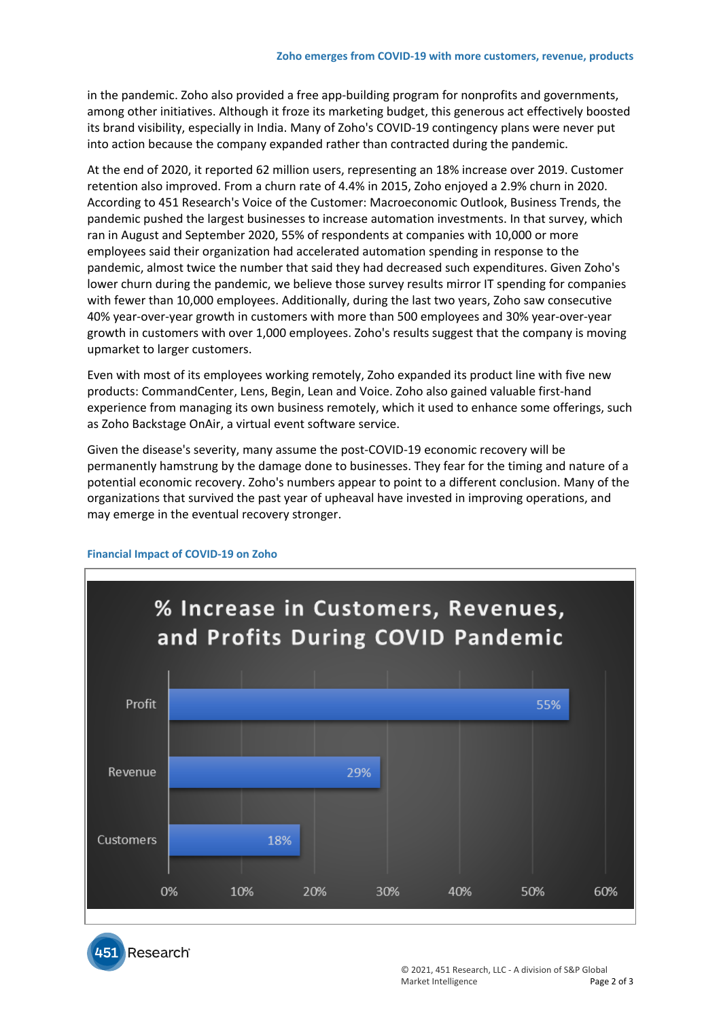in the pandemic. Zoho also provided a free app-building program for nonprofits and governments, among other initiatives. Although it froze its marketing budget, this generous act effectively boosted its brand visibility, especially in India. Many of Zoho's COVID-19 contingency plans were never put into action because the company expanded rather than contracted during the pandemic.

At the end of 2020, it reported 62 million users, representing an 18% increase over 2019. Customer retention also improved. From a churn rate of 4.4% in 2015, Zoho enjoyed a 2.9% churn in 2020. According to 451 Research's Voice of the Customer: Macroeconomic Outlook, Business Trends, the pandemic pushed the largest businesses to increase automation investments. In that survey, which ran in August and September 2020, 55% of respondents at companies with 10,000 or more employees said their organization had accelerated automation spending in response to the pandemic, almost twice the number that said they had decreased such expenditures. Given Zoho's lower churn during the pandemic, we believe those survey results mirror IT spending for companies with fewer than 10,000 employees. Additionally, during the last two years, Zoho saw consecutive 40% year-over-year growth in customers with more than 500 employees and 30% year-over-year growth in customers with over 1,000 employees. Zoho's results suggest that the company is moving upmarket to larger customers.

Even with most of its employees working remotely, Zoho expanded its product line with five new products: CommandCenter, Lens, Begin, Lean and Voice. Zoho also gained valuable first-hand experience from managing its own business remotely, which it used to enhance some offerings, such as Zoho Backstage OnAir, a virtual event software service.

Given the disease's severity, many assume the post-COVID-19 economic recovery will be permanently hamstrung by the damage done to businesses. They fear for the timing and nature of a potential economic recovery. Zoho's numbers appear to point to a different conclusion. Many of the organizations that survived the past year of upheaval have invested in improving operations, and may emerge in the eventual recovery stronger.



#### **Financial Impact of COVID-19 on Zoho**